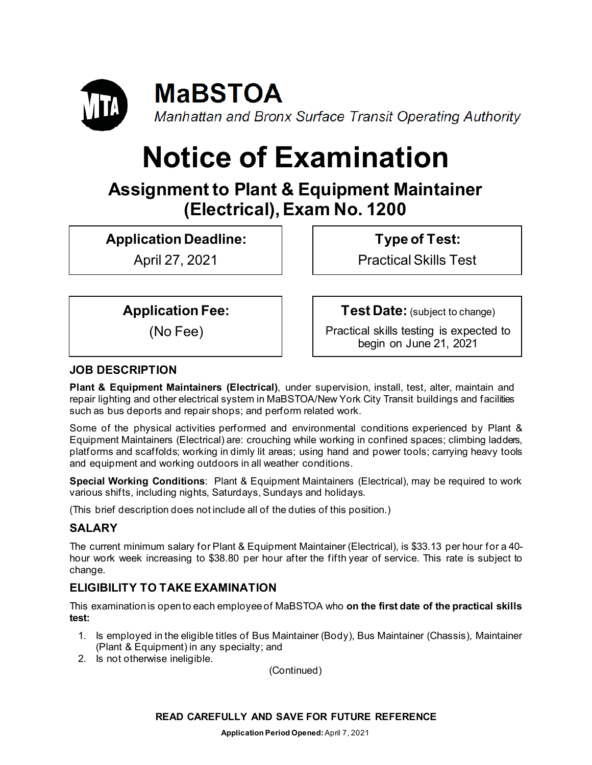

# **Notice of Examination**

## **Assignment to Plant & Equipment Maintainer (Electrical),Exam No. 1200**

**Application Deadline:**

April 27, 2021

**Type of Test:** 

Practical Skills Test

**Application Fee:**

(No Fee)

**Test Date:** (subject to change)

Practical skills testing is expected to begin on June 21, 2021

## **JOB DESCRIPTION**

**Plant & Equipment Maintainers (Electrical)**, under supervision, install, test, alter, maintain and repair lighting and other electrical system in MaBSTOA/New York City Transit buildings and facilities such as bus deports and repair shops; and perform related work.

Some of the physical activities performed and environmental conditions experienced by Plant & Equipment Maintainers (Electrical) are: crouching while working in confined spaces; climbing ladders, platforms and scaffolds; working in dimly lit areas; using hand and power tools; carrying heavy tools and equipment and working outdoors in all weather conditions.

**Special Working Conditions**: Plant & Equipment Maintainers (Electrical), may be required to work various shifts, including nights, Saturdays, Sundays and holidays.

(This brief description does not include all of the duties of this position.)

## **SALARY**

The current minimum salary for Plant & Equipment Maintainer (Electrical), is \$33.13 per hour for a 40 hour work week increasing to \$38.80 per hour after the fifth year of service. This rate is subject to change.

## **ELIGIBILITY TO TAKE EXAMINATION**

This examination is open to each employee of MaBSTOA who **on the first date of the practical skills test:**

- 1. Is employed in the eligible titles of Bus Maintainer (Body), Bus Maintainer (Chassis), Maintainer (Plant & Equipment) in any specialty; and
- 2. Is not otherwise ineligible.

(Continued)

#### **READ CAREFULLY AND SAVE FOR FUTURE REFERENCE**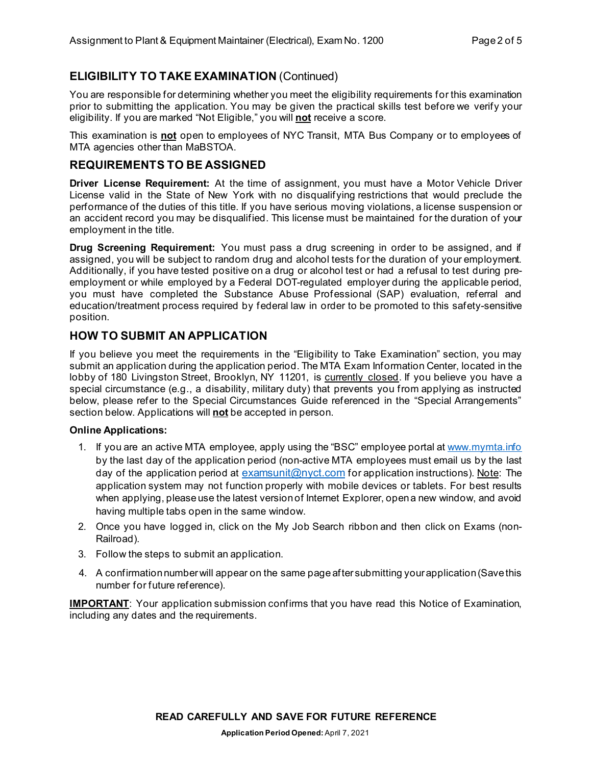## **ELIGIBILITY TO TAKE EXAMINATION** (Continued)

You are responsible for determining whether you meet the eligibility requirements for this examination prior to submitting the application. You may be given the practical skills test before we verify your eligibility. If you are marked "Not Eligible," you will **not** receive a score.

This examination is **not** open to employees of NYC Transit, MTA Bus Company or to employees of MTA agencies other than MaBSTOA.

### **REQUIREMENTS TO BE ASSIGNED**

**Driver License Requirement:** At the time of assignment, you must have a Motor Vehicle Driver License valid in the State of New York with no disqualifying restrictions that would preclude the performance of the duties of this title. If you have serious moving violations, a license suspension or an accident record you may be disqualified. This license must be maintained for the duration of your employment in the title.

**Drug Screening Requirement:** You must pass a drug screening in order to be assigned, and if assigned, you will be subject to random drug and alcohol tests for the duration of your employment. Additionally, if you have tested positive on a drug or alcohol test or had a refusal to test during preemployment or while employed by a Federal DOT-regulated employer during the applicable period, you must have completed the Substance Abuse Professional (SAP) evaluation, referral and education/treatment process required by federal law in order to be promoted to this safety-sensitive position.

## **HOW TO SUBMIT AN APPLICATION**

If you believe you meet the requirements in the "Eligibility to Take Examination" section, you may submit an application during the application period. The MTA Exam Information Center, located in the lobby of 180 Livingston Street, Brooklyn, NY 11201, is currently closed. If you believe you have a special circumstance (e.g., a disability, military duty) that prevents you from applying as instructed below, please refer to the Special Circumstances Guide referenced in the "Special Arrangements" section below. Applications will **not** be accepted in person.

#### **Online Applications:**

- 1. If you are an active MTA employee, apply using the "BSC" employee portal at [www.mymta.info](http://www.mymta.info/) by the last day of the application period (non-active MTA employees must email us by the last day of the application period at [examsunit@nyct.com](mailto:examsunit@nyct.com) for application instructions). Note: The application system may not function properly with mobile devices or tablets. For best results when applying, please use the latest version of Internet Explorer, open a new window, and avoid having multiple tabs open in the same window.
- 2. Once you have logged in, click on the My Job Search ribbon and then click on Exams (non-Railroad).
- 3. Follow the steps to submit an application.
- 4. A confirmation number will appear on the same page after submitting your application (Save this number for future reference).

**IMPORTANT**: Your application submission confirms that you have read this Notice of Examination, including any dates and the requirements.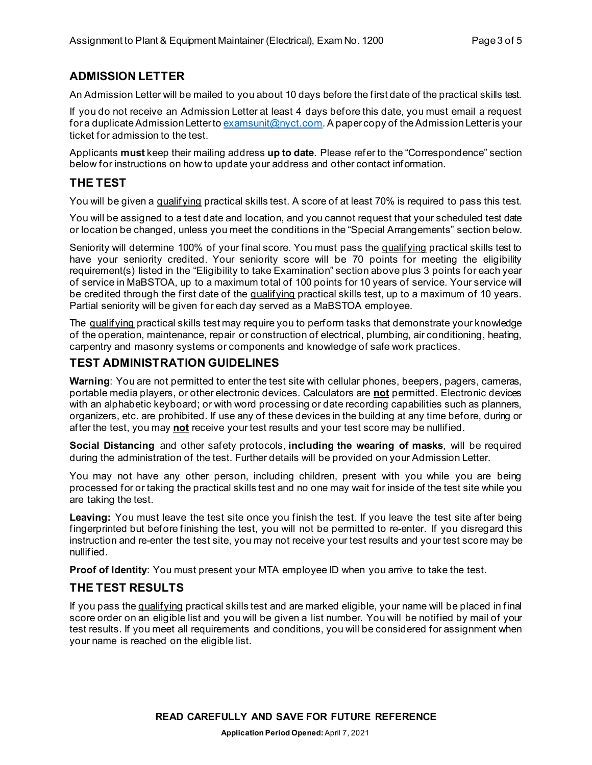## **ADMISSION LETTER**

An Admission Letter will be mailed to you about 10 days before the first date of the practical skills test.

If you do not receive an Admission Letter at least 4 days before this date, you must email a request for a duplicate Admission Letter to [examsunit@nyct.com.](mailto:examsunit@nyct.com) A paper copy of the Admission Letter is your ticket for admission to the test.

Applicants **must** keep their mailing address **up to date**. Please refer to the "Correspondence" section below for instructions on how to update your address and other contact information.

## **THE TEST**

You will be given a qualifying practical skills test. A score of at least 70% is required to pass this test.

You will be assigned to a test date and location, and you cannot request that your scheduled test date or location be changed, unless you meet the conditions in the "Special Arrangements" section below.

Seniority will determine 100% of your final score. You must pass the qualifying practical skills test to have your seniority credited. Your seniority score will be 70 points for meeting the eligibility requirement(s) listed in the "Eligibility to take Examination" section above plus 3 points for each year of service in MaBSTOA, up to a maximum total of 100 points for 10 years of service. Your service will be credited through the first date of the qualifying practical skills test, up to a maximum of 10 years. Partial seniority will be given for each day served as a MaBSTOA employee.

The qualifying practical skills test may require you to perform tasks that demonstrate your knowledge of the operation, maintenance, repair or construction of electrical, plumbing, air conditioning, heating, carpentry and masonry systems or components and knowledge of safe work practices.

## **TEST ADMINISTRATION GUIDELINES**

**Warning**: You are not permitted to enter the test site with cellular phones, beepers, pagers, cameras, portable media players, or other electronic devices. Calculators are **not** permitted. Electronic devices with an alphabetic keyboard; or with word processing or date recording capabilities such as planners, organizers, etc. are prohibited. If use any of these devices in the building at any time before, during or after the test, you may **not** receive your test results and your test score may be nullified.

**Social Distancing** and other safety protocols, **including the wearing of masks**, will be required during the administration of the test. Further details will be provided on your Admission Letter.

You may not have any other person, including children, present with you while you are being processed for or taking the practical skills test and no one may wait for inside of the test site while you are taking the test.

Leaving: You must leave the test site once you finish the test. If you leave the test site after being fingerprinted but before finishing the test, you will not be permitted to re-enter. If you disregard this instruction and re-enter the test site, you may not receive your test results and your test score may be nullified.

**Proof of Identity**: You must present your MTA employee ID when you arrive to take the test.

## **THE TEST RESULTS**

If you pass the qualifying practical skills test and are marked eligible, your name will be placed in final score order on an eligible list and you will be given a list number. You will be notified by mail of your test results. If you meet all requirements and conditions, you will be considered for assignment when your name is reached on the eligible list.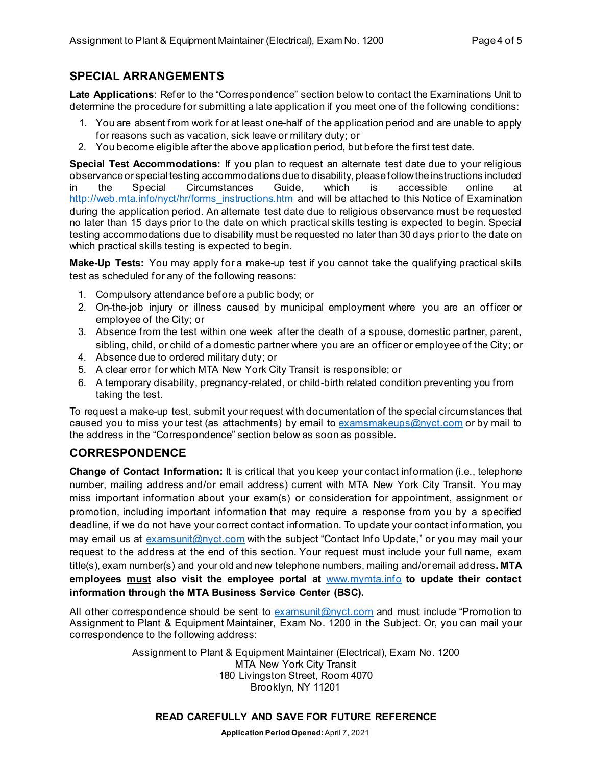## **SPECIAL ARRANGEMENTS**

**Late Applications**: Refer to the "Correspondence" section below to contact the Examinations Unit to determine the procedure for submitting a late application if you meet one of the following conditions:

- 1. You are absent from work for at least one-half of the application period and are unable to apply for reasons such as vacation, sick leave or military duty; or
- 2. You become eligible after the above application period, but before the first test date.

**Special Test Accommodations:** If you plan to request an alternate test date due to your religious observance or special testing accommodations due to disability, please follow the instructions included in the Special Circumstances Guide, which is accessible online at [http://web.mta.info/nyct/hr/forms\\_instructions.htm](http://web.mta.info/nyct/hr/forms_instructions.htm) and will be attached to this Notice of Examination during the application period. An alternate test date due to religious observance must be requested no later than 15 days prior to the date on which practical skills testing is expected to begin. Special testing accommodations due to disability must be requested no later than 30 days prior to the date on which practical skills testing is expected to begin.

**Make-Up Tests:** You may apply for a make-up test if you cannot take the qualifying practical skills test as scheduled for any of the following reasons:

- 1. Compulsory attendance before a public body; or
- 2. On-the-job injury or illness caused by municipal employment where you are an officer or employee of the City; or
- 3. Absence from the test within one week after the death of a spouse, domestic partner, parent, sibling, child, or child of a domestic partner where you are an officer or employee of the City; or
- 4. Absence due to ordered military duty; or
- 5. A clear error for which MTA New York City Transit is responsible; or
- 6. A temporary disability, pregnancy-related, or child-birth related condition preventing you from taking the test.

To request a make-up test, submit your request with documentation of the special circumstances that caused you to miss your test (as attachments) by email to  $examsmakeups@nyct.com$  or by mail to the address in the "Correspondence" section below as soon as possible.

## **CORRESPONDENCE**

**Change of Contact Information:** It is critical that you keep your contact information (i.e., telephone number, mailing address and/or email address) current with MTA New York City Transit. You may miss important information about your exam(s) or consideration for appointment, assignment or promotion, including important information that may require a response from you by a specified deadline, if we do not have your correct contact information. To update your contact information, you may email us at [examsunit@nyct.com](mailto:examsunit@nyct.com) with the subject "Contact Info Update," or you may mail your request to the address at the end of this section. Your request must include your full name, exam title(s), exam number(s) and your old and new telephone numbers, mailing and/or email address**. MTA employees must also visit the employee portal at** [www.mymta.info](http://www.mymta.info/) **to update their contact information through the MTA Business Service Center (BSC).**

All other correspondence should be sent to [examsunit@nyct.com](mailto:examsunit@nyct.com) and must include "Promotion to Assignment to Plant & Equipment Maintainer, Exam No. 1200 in the Subject. Or, you can mail your correspondence to the following address:

> Assignment to Plant & Equipment Maintainer (Electrical), Exam No. 1200 MTA New York City Transit 180 Livingston Street, Room 4070 Brooklyn, NY 11201

#### **READ CAREFULLY AND SAVE FOR FUTURE REFERENCE**